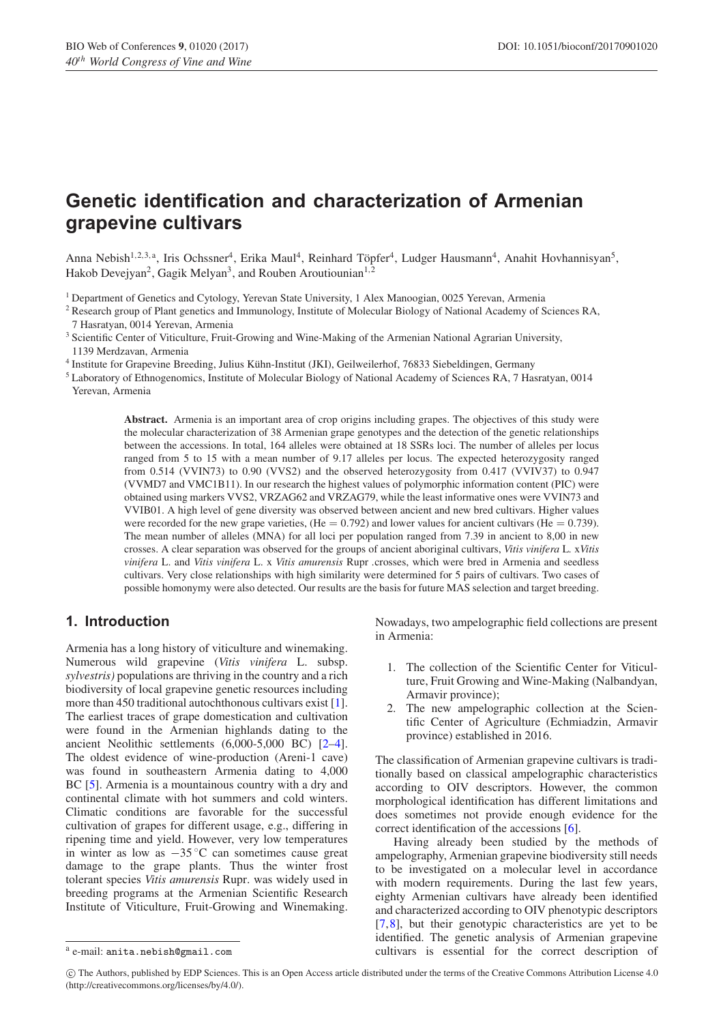# **Genetic identification and characterization of Armenian grapevine cultivars**

Anna Nebish<sup>1,2,3,a</sup>, Iris Ochssner<sup>4</sup>, Erika Maul<sup>4</sup>, Reinhard Töpfer<sup>4</sup>, Ludger Hausmann<sup>4</sup>, Anahit Hovhannisyan<sup>5</sup>, Hakob Devejyan<sup>2</sup>, Gagik Melyan<sup>3</sup>, and Rouben Aroutiounian<sup>1,2</sup>

<sup>1</sup> Department of Genetics and Cytology, Yerevan State University, 1 Alex Manoogian, 0025 Yerevan, Armenia

- <sup>2</sup> Research group of Plant genetics and Immunology, Institute of Molecular Biology of National Academy of Sciences RA, 7 Hasratyan, 0014 Yerevan, Armenia
- <sup>3</sup> Scientific Center of Viticulture, Fruit-Growing and Wine-Making of the Armenian National Agrarian University, 1139 Merdzavan, Armenia
- <sup>4</sup> Institute for Grapevine Breeding, Julius Kuhn-Institut (JKI), Geilweilerhof, 76833 Siebeldingen, Germany ¨
- <sup>5</sup> Laboratory of Ethnogenomics, Institute of Molecular Biology of National Academy of Sciences RA, 7 Hasratyan, 0014 Yerevan, Armenia

**Abstract.** Armenia is an important area of crop origins including grapes. The objectives of this study were the molecular characterization of 38 Armenian grape genotypes and the detection of the genetic relationships between the accessions. In total, 164 alleles were obtained at 18 SSRs loci. The number of alleles per locus ranged from 5 to 15 with a mean number of 9.17 alleles per locus. The expected heterozygosity ranged from 0.514 (VVIN73) to 0.90 (VVS2) and the observed heterozygosity from 0.417 (VVIV37) to 0.947 (VVMD7 and VMC1B11). In our research the highest values of polymorphic information content (PIC) were obtained using markers VVS2, VRZAG62 and VRZAG79, while the least informative ones were VVIN73 and VVIB01. A high level of gene diversity was observed between ancient and new bred cultivars. Higher values were recorded for the new grape varieties,  $(He = 0.792)$  and lower values for ancient cultivars  $(He = 0.739)$ . The mean number of alleles (MNA) for all loci per population ranged from 7.39 in ancient to 8,00 in new crosses. A clear separation was observed for the groups of ancient aboriginal cultivars, *Vitis vinifera* L*.* x*Vitis vinifera* L. and *Vitis vinifera* L. x *Vitis amurensis* Rupr *.*crosses, which were bred in Armenia and seedless cultivars. Very close relationships with high similarity were determined for 5 pairs of cultivars. Two cases of possible homonymy were also detected. Our results are the basis for future MAS selection and target breeding.

#### **1. Introduction**

Armenia has a long history of viticulture and winemaking. Numerous wild grapevine (*Vitis vinifera* L. subsp. *sylvestris)* populations are thriving in the country and a rich biodiversity of local grapevine genetic resources including more than 450 traditional autochthonous cultivars exist [\[1\]](#page-5-0). The earliest traces of grape domestication and cultivation were found in the Armenian highlands dating to the ancient Neolithic settlements (6,000-5,000 BC) [\[2](#page-5-1)[–4](#page-5-2)]. The oldest evidence of wine-production (Areni-1 cave) was found in southeastern Armenia dating to 4,000 BC [\[5](#page-5-3)]. Armenia is a mountainous country with a dry and continental climate with hot summers and cold winters. Climatic conditions are favorable for the successful cultivation of grapes for different usage, e.g., differing in ripening time and yield. However, very low temperatures in winter as low as  $-35\degree$ C can sometimes cause great damage to the grape plants. Thus the winter frost tolerant species *Vitis amurensis* Rupr*.* was widely used in breeding programs at the Armenian Scientific Research Institute of Viticulture, Fruit-Growing and Winemaking.

Nowadays, two ampelographic field collections are present in Armenia:

- 1. The collection of the Scientific Center for Viticulture, Fruit Growing and Wine-Making (Nalbandyan, Armavir province);
- 2. The new ampelographic collection at the Scientific Center of Agriculture (Echmiadzin, Armavir province) established in 2016.

The classification of Armenian grapevine cultivars is traditionally based on classical ampelographic characteristics according to OIV descriptors. However, the common morphological identification has different limitations and does sometimes not provide enough evidence for the correct identification of the accessions [\[6\]](#page-5-4).

Having already been studied by the methods of ampelography, Armenian grapevine biodiversity still needs to be investigated on a molecular level in accordance with modern requirements. During the last few years, eighty Armenian cultivars have already been identified and characterized according to OIV phenotypic descriptors [\[7](#page-5-5),[8\]](#page-5-6), but their genotypic characteristics are yet to be identified. The genetic analysis of Armenian grapevine cultivars is essential for the correct description of

<sup>a</sup> e-mail: anita.nebish@gmail.com

c The Authors, published by EDP Sciences. This is an Open Access article distributed under the terms of the Creative Commons Attribution License 4.0 (http://creativecommons.org/licenses/by/4.0/).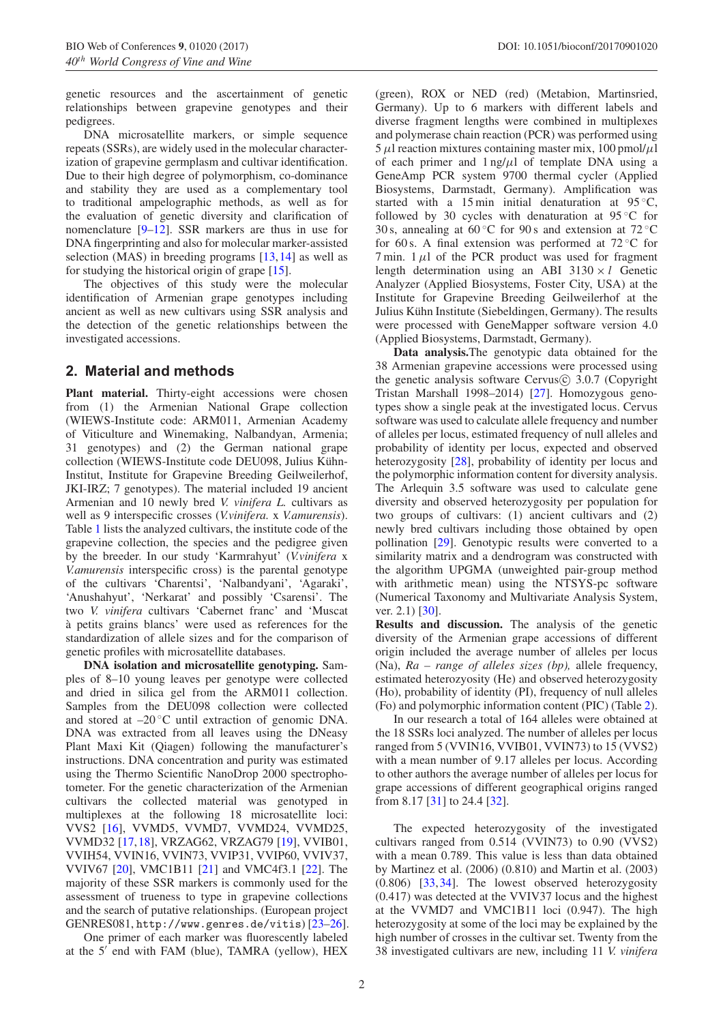genetic resources and the ascertainment of genetic relationships between grapevine genotypes and their pedigrees.

DNA microsatellite markers, or simple sequence repeats (SSRs), are widely used in the molecular characterization of grapevine germplasm and cultivar identification. Due to their high degree of polymorphism, co-dominance and stability they are used as a complementary tool to traditional ampelographic methods, as well as for the evaluation of genetic diversity and clarification of nomenclature [\[9](#page-5-7)[–12](#page-5-8)]. SSR markers are thus in use for DNA fingerprinting and also for molecular marker-assisted selection (MAS) in breeding programs [\[13,](#page-5-9)[14](#page-5-10)] as well as for studying the historical origin of grape [\[15](#page-5-11)].

The objectives of this study were the molecular identification of Armenian grape genotypes including ancient as well as new cultivars using SSR analysis and the detection of the genetic relationships between the investigated accessions.

## **2. Material and methods**

**Plant material.** Thirty-eight accessions were chosen from (1) the Armenian National Grape collection (WIEWS-Institute code: ARM011, Armenian Academy of Viticulture and Winemaking, Nalbandyan, Armenia; 31 genotypes) and (2) the German national grape collection (WIEWS-Institute code DEU098, Julius Kühn-Institut, Institute for Grapevine Breeding Geilweilerhof, JKI-IRZ; 7 genotypes). The material included 19 ancient Armenian and 10 newly bred *V. vinifera L.* cultivars as well as 9 interspecific crosses (*V.vinifera.* x *V.amurensis*). Table [1](#page-2-0) lists the analyzed cultivars, the institute code of the grapevine collection, the species and the pedigree given by the breeder. In our study 'Karmrahyut' (*V.vinifera* x *V.amurensis* interspecific cross) is the parental genotype of the cultivars 'Charentsi', 'Nalbandyani', 'Agaraki', 'Anushahyut', 'Nerkarat' and possibly 'Csarensi'. The two *V. vinifera* cultivars 'Cabernet franc' and 'Muscat a petits grains blancs' were used as references for the ` standardization of allele sizes and for the comparison of genetic profiles with microsatellite databases.

**DNA isolation and microsatellite genotyping.** Samples of 8–10 young leaves per genotype were collected and dried in silica gel from the ARM011 collection. Samples from the DEU098 collection were collected and stored at  $-20\degree C$  until extraction of genomic DNA. DNA was extracted from all leaves using the DNeasy Plant Maxi Kit (Qiagen) following the manufacturer's instructions. DNA concentration and purity was estimated using the Thermo Scientific NanoDrop 2000 spectrophotometer. For the genetic characterization of the Armenian cultivars the collected material was genotyped in multiplexes at the following 18 microsatellite loci: VVS2 [\[16\]](#page-5-12), VVMD5, VVMD7, VVMD24, VVMD25, VVMD32 [\[17](#page-5-13),[18\]](#page-5-14), VRZAG62, VRZAG79 [\[19](#page-5-15)], VVIB01, VVIH54, VVIN16, VVIN73, VVIP31, VVIP60, VVIV37, VVIV67 [\[20\]](#page-5-16), VMC1B11 [\[21](#page-5-17)] and VMC4f3.1 [\[22](#page-5-18)]. The majority of these SSR markers is commonly used for the assessment of trueness to type in grapevine collections and the search of putative relationships. (European project GENRES081, http://www.genres.de/vitis) [\[23](#page-5-19)[–26\]](#page-5-20).

One primer of each marker was fluorescently labeled at the 5' end with FAM (blue), TAMRA (yellow), HEX

(green), ROX or NED (red) (Metabion, Martinsried, Germany). Up to 6 markers with different labels and diverse fragment lengths were combined in multiplexes and polymerase chain reaction (PCR) was performed using  $5 \mu$ l reaction mixtures containing master mix,  $100 \text{ pmol}/\mu$ l of each primer and  $1 \frac{ng}{\mu}$  of template DNA using a GeneAmp PCR system 9700 thermal cycler (Applied Biosystems, Darmstadt, Germany). Amplification was started with a 15 min initial denaturation at  $95^{\circ}$ C, followed by 30 cycles with denaturation at  $95^{\circ}$ C for 30 s, annealing at  $60 °C$  for 90 s and extension at  $72 °C$ for 60 s. A final extension was performed at  $72^{\circ}$ C for  $7 \text{ min. } 1 \mu l$  of the PCR product was used for fragment length determination using an ABI 3130 × *l* Genetic Analyzer (Applied Biosystems, Foster City, USA) at the Institute for Grapevine Breeding Geilweilerhof at the Julius Kühn Institute (Siebeldingen, Germany). The results were processed with GeneMapper software version 4.0 (Applied Biosystems, Darmstadt, Germany).

**Data analysis.**The genotypic data obtained for the 38 Armenian grapevine accessions were processed using the genetic analysis software Cervus $\odot$  3.0.7 (Copyright Tristan Marshall 1998–2014) [\[27](#page-5-21)]. Homozygous genotypes show a single peak at the investigated locus. Cervus software was used to calculate allele frequency and number of alleles per locus, estimated frequency of null alleles and probability of identity per locus, expected and observed heterozygosity [\[28](#page-5-22)], probability of identity per locus and the polymorphic information content for diversity analysis. The Arlequin 3.5 software was used to calculate gene diversity and observed heterozygosity per population for two groups of cultivars: (1) ancient cultivars and (2) newly bred cultivars including those obtained by open pollination [\[29](#page-5-23)]. Genotypic results were converted to a similarity matrix and a dendrogram was constructed with the algorithm UPGMA (unweighted pair-group method with arithmetic mean) using the NTSYS-pc software (Numerical Taxonomy and Multivariate Analysis System, ver. 2.1) [\[30\]](#page-5-24).

**Results and discussion.** The analysis of the genetic diversity of the Armenian grape accessions of different origin included the average number of alleles per locus (Na), *Ra – range of alleles sizes (bp),* allele frequency, estimated heterozyosity (He) and observed heterozygosity (Ho), probability of identity (PI), frequency of null alleles (Fo) and polymorphic information content (PIC) (Table [2\)](#page-3-0).

In our research a total of 164 alleles were obtained at the 18 SSRs loci analyzed. The number of alleles per locus ranged from 5 (VVIN16, VVIB01, VVIN73) to 15 (VVS2) with a mean number of 9.17 alleles per locus. According to other authors the average number of alleles per locus for grape accessions of different geographical origins ranged from 8.17 [\[31](#page-5-25)] to 24.4 [\[32](#page-5-26)].

The expected heterozygosity of the investigated cultivars ranged from 0.514 (VVIN73) to 0.90 (VVS2) with a mean 0.789. This value is less than data obtained by Martinez et al. (2006) (0.810) and Martin et al. (2003) (0.806) [\[33](#page-5-27),[34\]](#page-5-28). The lowest observed heterozygosity (0.417) was detected at the VVIV37 locus and the highest at the VVMD7 and VMC1B11 loci (0.947). The high heterozygosity at some of the loci may be explained by the high number of crosses in the cultivar set. Twenty from the 38 investigated cultivars are new, including 11 *V. vinifera*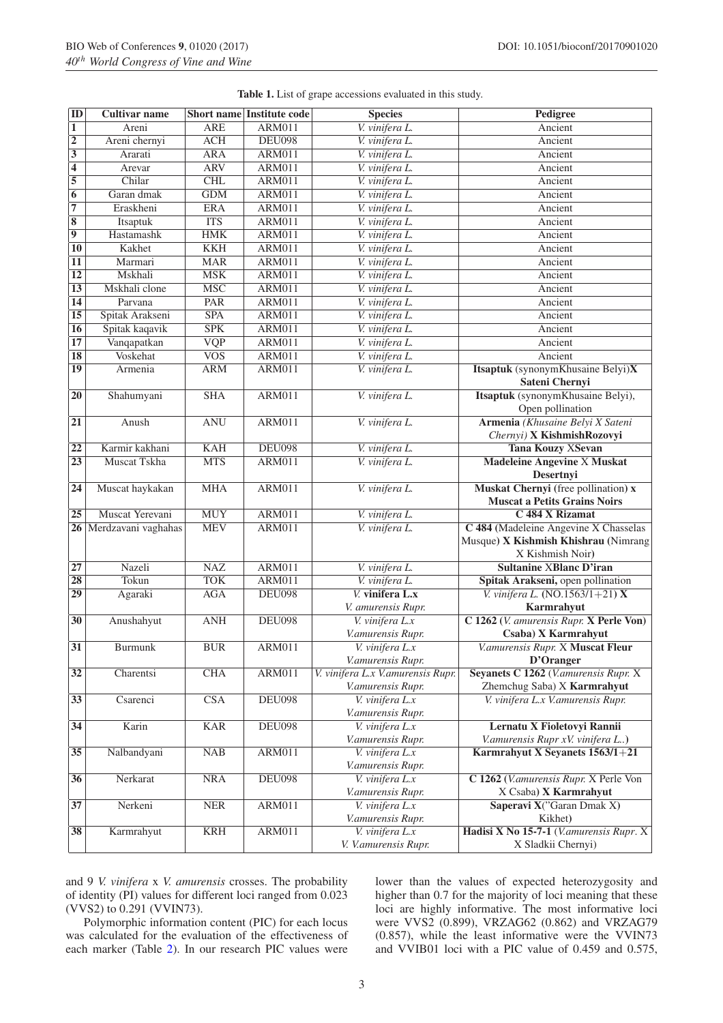<span id="page-2-0"></span>

|  |  | <b>Table 1.</b> List of grape accessions evaluated in this study. |  |  |
|--|--|-------------------------------------------------------------------|--|--|
|  |  |                                                                   |  |  |

| $\overline{1}$<br><b>ARE</b><br>ARM011<br>V. vinifera L.<br>Areni<br>Ancient<br>$\overline{2}$<br><b>ACH</b><br>V. vinifera L.<br>Areni chernyi<br><b>DEU098</b><br>Ancient<br>$\overline{\mathbf{3}}$<br><b>ARA</b><br>ARM011<br>V. vinifera L.<br>Ararati<br>Ancient<br>$\overline{4}$<br><b>ARV</b><br><b>ARM011</b><br>V. vinifera L.<br>Arevar<br>Ancient<br>$\overline{5}$<br>Chilar<br>CHL<br><b>ARM011</b><br>V. vinifera L.<br>Ancient<br>$\overline{6}$<br>$\overline{GDM}$<br>Garan dmak<br><b>ARM011</b><br>V. vinifera L.<br>Ancient<br>$\overline{7}$<br>Eraskheni<br><b>ERA</b><br><b>ARM011</b><br>V. vinifera L.<br>Ancient<br>$\overline{\mathbf{8}}$<br><b>ITS</b><br><b>ARM011</b><br>Itsaptuk<br>V. vinifera L.<br>Ancient<br>$\overline{9}$<br>Hastamashk<br><b>HMK</b><br><b>ARM011</b><br>V. vinifera L.<br>Ancient<br>$\overline{10}$<br><b>KKH</b><br>Kakhet<br><b>ARM011</b><br>V. vinifera L.<br>Ancient<br>$\overline{11}$<br><b>MAR</b><br><b>ARM011</b><br>V. vinifera L.<br>Marmari<br>Ancient<br>$\overline{12}$<br>Mskhali<br><b>MSK</b><br><b>ARM011</b><br>V. vinifera L.<br>Ancient<br>$\overline{13}$<br>Mskhali clone<br><b>MSC</b><br><b>ARM011</b><br>V. vinifera L.<br>Ancient<br>$\overline{14}$<br>PAR<br><b>ARM011</b><br>V. vinifera L.<br>Parvana<br>Ancient<br>$\overline{15}$<br>Spitak Arakseni<br><b>SPA</b><br><b>ARM011</b><br>V. vinifera L.<br>Ancient<br>Spitak kaqavik<br><b>SPK</b><br>$\overline{16}$<br><b>ARM011</b><br>V. vinifera L.<br>Ancient<br>$\overline{17}$<br>Vanqapatkan<br><b>VQP</b><br><b>ARM011</b><br>V. vinifera L.<br>Ancient<br><b>Voskehat</b><br>$\overline{\text{VOS}}$<br>$\overline{18}$<br><b>ARM011</b><br>V. vinifera L.<br>Ancient<br>Itsaptuk (synonymKhusaine Belyi)X<br>19<br><b>ARM</b><br><b>ARM011</b><br>V. vinifera L.<br>Armenia<br>Sateni Chernyi<br>$\overline{20}$<br><b>ARM011</b><br>V. vinifera L.<br>Itsaptuk (synonymKhusaine Belyi),<br>Shahumyani<br><b>SHA</b> |  |
|-----------------------------------------------------------------------------------------------------------------------------------------------------------------------------------------------------------------------------------------------------------------------------------------------------------------------------------------------------------------------------------------------------------------------------------------------------------------------------------------------------------------------------------------------------------------------------------------------------------------------------------------------------------------------------------------------------------------------------------------------------------------------------------------------------------------------------------------------------------------------------------------------------------------------------------------------------------------------------------------------------------------------------------------------------------------------------------------------------------------------------------------------------------------------------------------------------------------------------------------------------------------------------------------------------------------------------------------------------------------------------------------------------------------------------------------------------------------------------------------------------------------------------------------------------------------------------------------------------------------------------------------------------------------------------------------------------------------------------------------------------------------------------------------------------------------------------------------------------------------------------------------------------------------------------------------------------------------------------|--|
|                                                                                                                                                                                                                                                                                                                                                                                                                                                                                                                                                                                                                                                                                                                                                                                                                                                                                                                                                                                                                                                                                                                                                                                                                                                                                                                                                                                                                                                                                                                                                                                                                                                                                                                                                                                                                                                                                                                                                                             |  |
|                                                                                                                                                                                                                                                                                                                                                                                                                                                                                                                                                                                                                                                                                                                                                                                                                                                                                                                                                                                                                                                                                                                                                                                                                                                                                                                                                                                                                                                                                                                                                                                                                                                                                                                                                                                                                                                                                                                                                                             |  |
|                                                                                                                                                                                                                                                                                                                                                                                                                                                                                                                                                                                                                                                                                                                                                                                                                                                                                                                                                                                                                                                                                                                                                                                                                                                                                                                                                                                                                                                                                                                                                                                                                                                                                                                                                                                                                                                                                                                                                                             |  |
|                                                                                                                                                                                                                                                                                                                                                                                                                                                                                                                                                                                                                                                                                                                                                                                                                                                                                                                                                                                                                                                                                                                                                                                                                                                                                                                                                                                                                                                                                                                                                                                                                                                                                                                                                                                                                                                                                                                                                                             |  |
|                                                                                                                                                                                                                                                                                                                                                                                                                                                                                                                                                                                                                                                                                                                                                                                                                                                                                                                                                                                                                                                                                                                                                                                                                                                                                                                                                                                                                                                                                                                                                                                                                                                                                                                                                                                                                                                                                                                                                                             |  |
|                                                                                                                                                                                                                                                                                                                                                                                                                                                                                                                                                                                                                                                                                                                                                                                                                                                                                                                                                                                                                                                                                                                                                                                                                                                                                                                                                                                                                                                                                                                                                                                                                                                                                                                                                                                                                                                                                                                                                                             |  |
|                                                                                                                                                                                                                                                                                                                                                                                                                                                                                                                                                                                                                                                                                                                                                                                                                                                                                                                                                                                                                                                                                                                                                                                                                                                                                                                                                                                                                                                                                                                                                                                                                                                                                                                                                                                                                                                                                                                                                                             |  |
|                                                                                                                                                                                                                                                                                                                                                                                                                                                                                                                                                                                                                                                                                                                                                                                                                                                                                                                                                                                                                                                                                                                                                                                                                                                                                                                                                                                                                                                                                                                                                                                                                                                                                                                                                                                                                                                                                                                                                                             |  |
|                                                                                                                                                                                                                                                                                                                                                                                                                                                                                                                                                                                                                                                                                                                                                                                                                                                                                                                                                                                                                                                                                                                                                                                                                                                                                                                                                                                                                                                                                                                                                                                                                                                                                                                                                                                                                                                                                                                                                                             |  |
|                                                                                                                                                                                                                                                                                                                                                                                                                                                                                                                                                                                                                                                                                                                                                                                                                                                                                                                                                                                                                                                                                                                                                                                                                                                                                                                                                                                                                                                                                                                                                                                                                                                                                                                                                                                                                                                                                                                                                                             |  |
|                                                                                                                                                                                                                                                                                                                                                                                                                                                                                                                                                                                                                                                                                                                                                                                                                                                                                                                                                                                                                                                                                                                                                                                                                                                                                                                                                                                                                                                                                                                                                                                                                                                                                                                                                                                                                                                                                                                                                                             |  |
|                                                                                                                                                                                                                                                                                                                                                                                                                                                                                                                                                                                                                                                                                                                                                                                                                                                                                                                                                                                                                                                                                                                                                                                                                                                                                                                                                                                                                                                                                                                                                                                                                                                                                                                                                                                                                                                                                                                                                                             |  |
|                                                                                                                                                                                                                                                                                                                                                                                                                                                                                                                                                                                                                                                                                                                                                                                                                                                                                                                                                                                                                                                                                                                                                                                                                                                                                                                                                                                                                                                                                                                                                                                                                                                                                                                                                                                                                                                                                                                                                                             |  |
|                                                                                                                                                                                                                                                                                                                                                                                                                                                                                                                                                                                                                                                                                                                                                                                                                                                                                                                                                                                                                                                                                                                                                                                                                                                                                                                                                                                                                                                                                                                                                                                                                                                                                                                                                                                                                                                                                                                                                                             |  |
|                                                                                                                                                                                                                                                                                                                                                                                                                                                                                                                                                                                                                                                                                                                                                                                                                                                                                                                                                                                                                                                                                                                                                                                                                                                                                                                                                                                                                                                                                                                                                                                                                                                                                                                                                                                                                                                                                                                                                                             |  |
|                                                                                                                                                                                                                                                                                                                                                                                                                                                                                                                                                                                                                                                                                                                                                                                                                                                                                                                                                                                                                                                                                                                                                                                                                                                                                                                                                                                                                                                                                                                                                                                                                                                                                                                                                                                                                                                                                                                                                                             |  |
|                                                                                                                                                                                                                                                                                                                                                                                                                                                                                                                                                                                                                                                                                                                                                                                                                                                                                                                                                                                                                                                                                                                                                                                                                                                                                                                                                                                                                                                                                                                                                                                                                                                                                                                                                                                                                                                                                                                                                                             |  |
|                                                                                                                                                                                                                                                                                                                                                                                                                                                                                                                                                                                                                                                                                                                                                                                                                                                                                                                                                                                                                                                                                                                                                                                                                                                                                                                                                                                                                                                                                                                                                                                                                                                                                                                                                                                                                                                                                                                                                                             |  |
|                                                                                                                                                                                                                                                                                                                                                                                                                                                                                                                                                                                                                                                                                                                                                                                                                                                                                                                                                                                                                                                                                                                                                                                                                                                                                                                                                                                                                                                                                                                                                                                                                                                                                                                                                                                                                                                                                                                                                                             |  |
|                                                                                                                                                                                                                                                                                                                                                                                                                                                                                                                                                                                                                                                                                                                                                                                                                                                                                                                                                                                                                                                                                                                                                                                                                                                                                                                                                                                                                                                                                                                                                                                                                                                                                                                                                                                                                                                                                                                                                                             |  |
|                                                                                                                                                                                                                                                                                                                                                                                                                                                                                                                                                                                                                                                                                                                                                                                                                                                                                                                                                                                                                                                                                                                                                                                                                                                                                                                                                                                                                                                                                                                                                                                                                                                                                                                                                                                                                                                                                                                                                                             |  |
| Open pollination                                                                                                                                                                                                                                                                                                                                                                                                                                                                                                                                                                                                                                                                                                                                                                                                                                                                                                                                                                                                                                                                                                                                                                                                                                                                                                                                                                                                                                                                                                                                                                                                                                                                                                                                                                                                                                                                                                                                                            |  |
| $\overline{21}$<br>Armenia (Khusaine Belyi X Sateni<br>Anush<br><b>ANU</b><br><b>ARM011</b><br>V. vinifera L.                                                                                                                                                                                                                                                                                                                                                                                                                                                                                                                                                                                                                                                                                                                                                                                                                                                                                                                                                                                                                                                                                                                                                                                                                                                                                                                                                                                                                                                                                                                                                                                                                                                                                                                                                                                                                                                               |  |
| Chernyi) X KishmishRozovyi                                                                                                                                                                                                                                                                                                                                                                                                                                                                                                                                                                                                                                                                                                                                                                                                                                                                                                                                                                                                                                                                                                                                                                                                                                                                                                                                                                                                                                                                                                                                                                                                                                                                                                                                                                                                                                                                                                                                                  |  |
| $\overline{22}$<br>Karmir kakhani<br><b>KAH</b><br><b>DEU098</b><br>V. vinifera L.<br><b>Tana Kouzy XSevan</b>                                                                                                                                                                                                                                                                                                                                                                                                                                                                                                                                                                                                                                                                                                                                                                                                                                                                                                                                                                                                                                                                                                                                                                                                                                                                                                                                                                                                                                                                                                                                                                                                                                                                                                                                                                                                                                                              |  |
| $\overline{23}$<br><b>MTS</b><br>Muscat Tskha<br><b>ARM011</b><br>V. vinifera L.<br><b>Madeleine Angevine X Muskat</b>                                                                                                                                                                                                                                                                                                                                                                                                                                                                                                                                                                                                                                                                                                                                                                                                                                                                                                                                                                                                                                                                                                                                                                                                                                                                                                                                                                                                                                                                                                                                                                                                                                                                                                                                                                                                                                                      |  |
| Desertnyi                                                                                                                                                                                                                                                                                                                                                                                                                                                                                                                                                                                                                                                                                                                                                                                                                                                                                                                                                                                                                                                                                                                                                                                                                                                                                                                                                                                                                                                                                                                                                                                                                                                                                                                                                                                                                                                                                                                                                                   |  |
| <b>MHA</b><br>Muskat Chernyi (free pollination) x<br>24<br>Muscat haykakan<br><b>ARM011</b><br>V. vinifera L.                                                                                                                                                                                                                                                                                                                                                                                                                                                                                                                                                                                                                                                                                                                                                                                                                                                                                                                                                                                                                                                                                                                                                                                                                                                                                                                                                                                                                                                                                                                                                                                                                                                                                                                                                                                                                                                               |  |
| <b>Muscat a Petits Grains Noirs</b>                                                                                                                                                                                                                                                                                                                                                                                                                                                                                                                                                                                                                                                                                                                                                                                                                                                                                                                                                                                                                                                                                                                                                                                                                                                                                                                                                                                                                                                                                                                                                                                                                                                                                                                                                                                                                                                                                                                                         |  |
| Muscat Yerevani<br><b>MUY</b><br>ARM011<br>25<br>V. vinifera L.<br>C 484 X Rizamat                                                                                                                                                                                                                                                                                                                                                                                                                                                                                                                                                                                                                                                                                                                                                                                                                                                                                                                                                                                                                                                                                                                                                                                                                                                                                                                                                                                                                                                                                                                                                                                                                                                                                                                                                                                                                                                                                          |  |
| 26 Merdzavani vaghahas<br><b>MEV</b><br>V. vinifera L.<br>C 484 (Madeleine Angevine X Chasselas<br><b>ARM011</b>                                                                                                                                                                                                                                                                                                                                                                                                                                                                                                                                                                                                                                                                                                                                                                                                                                                                                                                                                                                                                                                                                                                                                                                                                                                                                                                                                                                                                                                                                                                                                                                                                                                                                                                                                                                                                                                            |  |
| Musque) X Kishmish Khishrau (Nimrang                                                                                                                                                                                                                                                                                                                                                                                                                                                                                                                                                                                                                                                                                                                                                                                                                                                                                                                                                                                                                                                                                                                                                                                                                                                                                                                                                                                                                                                                                                                                                                                                                                                                                                                                                                                                                                                                                                                                        |  |
| X Kishmish Noir)                                                                                                                                                                                                                                                                                                                                                                                                                                                                                                                                                                                                                                                                                                                                                                                                                                                                                                                                                                                                                                                                                                                                                                                                                                                                                                                                                                                                                                                                                                                                                                                                                                                                                                                                                                                                                                                                                                                                                            |  |
| $\overline{27}$<br>NAZ<br><b>ARM011</b><br>Nazeli<br><b>Sultanine XBlanc D'iran</b><br>V. vinifera L.                                                                                                                                                                                                                                                                                                                                                                                                                                                                                                                                                                                                                                                                                                                                                                                                                                                                                                                                                                                                                                                                                                                                                                                                                                                                                                                                                                                                                                                                                                                                                                                                                                                                                                                                                                                                                                                                       |  |
| $\overline{28}$<br>Tokun<br><b>TOK</b><br><b>ARM011</b><br>V. vinifera L.<br>Spitak Arakseni, open pollination                                                                                                                                                                                                                                                                                                                                                                                                                                                                                                                                                                                                                                                                                                                                                                                                                                                                                                                                                                                                                                                                                                                                                                                                                                                                                                                                                                                                                                                                                                                                                                                                                                                                                                                                                                                                                                                              |  |
| $\overline{29}$<br>$\overline{V}$ vinifera $\overline{L}$ .x<br>V. vinifera L. $(NO.1563/1+21) X$<br><b>AGA</b><br><b>DEU098</b><br>Agaraki                                                                                                                                                                                                                                                                                                                                                                                                                                                                                                                                                                                                                                                                                                                                                                                                                                                                                                                                                                                                                                                                                                                                                                                                                                                                                                                                                                                                                                                                                                                                                                                                                                                                                                                                                                                                                                 |  |
| V. amurensis Rupr.<br>Karmrahyut                                                                                                                                                                                                                                                                                                                                                                                                                                                                                                                                                                                                                                                                                                                                                                                                                                                                                                                                                                                                                                                                                                                                                                                                                                                                                                                                                                                                                                                                                                                                                                                                                                                                                                                                                                                                                                                                                                                                            |  |
| $V.$ vinifera $L.x$<br>C 1262 (V. amurensis Rupr. X Perle Von)<br>$\overline{30}$<br>Anushahyut<br><b>ANH</b><br><b>DEU098</b>                                                                                                                                                                                                                                                                                                                                                                                                                                                                                                                                                                                                                                                                                                                                                                                                                                                                                                                                                                                                                                                                                                                                                                                                                                                                                                                                                                                                                                                                                                                                                                                                                                                                                                                                                                                                                                              |  |
| Csaba) X Karmrahyut<br>V.amurensis Rupr.                                                                                                                                                                                                                                                                                                                                                                                                                                                                                                                                                                                                                                                                                                                                                                                                                                                                                                                                                                                                                                                                                                                                                                                                                                                                                                                                                                                                                                                                                                                                                                                                                                                                                                                                                                                                                                                                                                                                    |  |
| $\overline{31}$<br>$\overline{BUR}$<br><b>Burmunk</b><br><b>ARM011</b><br>V.amurensis Rupr. X Muscat Fleur<br>V. vinifera L.x                                                                                                                                                                                                                                                                                                                                                                                                                                                                                                                                                                                                                                                                                                                                                                                                                                                                                                                                                                                                                                                                                                                                                                                                                                                                                                                                                                                                                                                                                                                                                                                                                                                                                                                                                                                                                                               |  |
| D'Oranger<br>V.amurensis Rupr.<br>$\overline{32}$<br>Charentsi<br>CHA<br><b>ARM011</b><br>V. vinifera L.x V.amurensis Rupr.<br>Seyanets C 1262 (V.amurensis Rupr. X                                                                                                                                                                                                                                                                                                                                                                                                                                                                                                                                                                                                                                                                                                                                                                                                                                                                                                                                                                                                                                                                                                                                                                                                                                                                                                                                                                                                                                                                                                                                                                                                                                                                                                                                                                                                         |  |
| V.amurensis Rupr.<br>Zhemchug Saba) X Karmrahyut                                                                                                                                                                                                                                                                                                                                                                                                                                                                                                                                                                                                                                                                                                                                                                                                                                                                                                                                                                                                                                                                                                                                                                                                                                                                                                                                                                                                                                                                                                                                                                                                                                                                                                                                                                                                                                                                                                                            |  |
| $\overline{\text{CSA}}$<br>$\overline{33}$<br>Csarenci<br><b>DEU098</b><br>V. vinifera L.x<br>V. vinifera L.x V.amurensis Rupr.                                                                                                                                                                                                                                                                                                                                                                                                                                                                                                                                                                                                                                                                                                                                                                                                                                                                                                                                                                                                                                                                                                                                                                                                                                                                                                                                                                                                                                                                                                                                                                                                                                                                                                                                                                                                                                             |  |
| V.amurensis Rupr.                                                                                                                                                                                                                                                                                                                                                                                                                                                                                                                                                                                                                                                                                                                                                                                                                                                                                                                                                                                                                                                                                                                                                                                                                                                                                                                                                                                                                                                                                                                                                                                                                                                                                                                                                                                                                                                                                                                                                           |  |
| 34<br>Karin<br><b>KAR</b><br><b>DEU098</b><br>$V.$ vinifera $L.x$<br>Lernatu X Fioletovyi Rannii                                                                                                                                                                                                                                                                                                                                                                                                                                                                                                                                                                                                                                                                                                                                                                                                                                                                                                                                                                                                                                                                                                                                                                                                                                                                                                                                                                                                                                                                                                                                                                                                                                                                                                                                                                                                                                                                            |  |
| V.amurensis Rupr.<br>V.amurensis Rupr xV. vinifera L)                                                                                                                                                                                                                                                                                                                                                                                                                                                                                                                                                                                                                                                                                                                                                                                                                                                                                                                                                                                                                                                                                                                                                                                                                                                                                                                                                                                                                                                                                                                                                                                                                                                                                                                                                                                                                                                                                                                       |  |
| Karmrahyut X Seyanets 1563/1+21<br>Nalbandyani<br><b>ARM011</b><br>35<br><b>NAB</b><br>V. vinifera L.x                                                                                                                                                                                                                                                                                                                                                                                                                                                                                                                                                                                                                                                                                                                                                                                                                                                                                                                                                                                                                                                                                                                                                                                                                                                                                                                                                                                                                                                                                                                                                                                                                                                                                                                                                                                                                                                                      |  |
| V.amurensis Rupr.                                                                                                                                                                                                                                                                                                                                                                                                                                                                                                                                                                                                                                                                                                                                                                                                                                                                                                                                                                                                                                                                                                                                                                                                                                                                                                                                                                                                                                                                                                                                                                                                                                                                                                                                                                                                                                                                                                                                                           |  |
| C 1262 (V.amurensis Rupr. X Perle Von<br>$\overline{36}$<br>Nerkarat<br>NRA<br><b>DEU098</b><br>V. vinifera L.x                                                                                                                                                                                                                                                                                                                                                                                                                                                                                                                                                                                                                                                                                                                                                                                                                                                                                                                                                                                                                                                                                                                                                                                                                                                                                                                                                                                                                                                                                                                                                                                                                                                                                                                                                                                                                                                             |  |
| V.amurensis Rupr.<br>X Csaba) X Karmrahyut                                                                                                                                                                                                                                                                                                                                                                                                                                                                                                                                                                                                                                                                                                                                                                                                                                                                                                                                                                                                                                                                                                                                                                                                                                                                                                                                                                                                                                                                                                                                                                                                                                                                                                                                                                                                                                                                                                                                  |  |
| <b>ARM011</b><br>$\overline{37}$<br>Nerkeni<br><b>NER</b><br>V. vinifera L.x<br>Saperavi X("Garan Dmak X)                                                                                                                                                                                                                                                                                                                                                                                                                                                                                                                                                                                                                                                                                                                                                                                                                                                                                                                                                                                                                                                                                                                                                                                                                                                                                                                                                                                                                                                                                                                                                                                                                                                                                                                                                                                                                                                                   |  |
| V.amurensis Rupr.<br>Kikhet)                                                                                                                                                                                                                                                                                                                                                                                                                                                                                                                                                                                                                                                                                                                                                                                                                                                                                                                                                                                                                                                                                                                                                                                                                                                                                                                                                                                                                                                                                                                                                                                                                                                                                                                                                                                                                                                                                                                                                |  |
| <b>ARM011</b><br>Hadisi X No 15-7-1 (V.amurensis Rupr. X)<br>38<br>Karmrahyut<br><b>KRH</b><br>V. vinifera L.x                                                                                                                                                                                                                                                                                                                                                                                                                                                                                                                                                                                                                                                                                                                                                                                                                                                                                                                                                                                                                                                                                                                                                                                                                                                                                                                                                                                                                                                                                                                                                                                                                                                                                                                                                                                                                                                              |  |
| X Sladkii Chernyi)<br>V. V.amurensis Rupr.                                                                                                                                                                                                                                                                                                                                                                                                                                                                                                                                                                                                                                                                                                                                                                                                                                                                                                                                                                                                                                                                                                                                                                                                                                                                                                                                                                                                                                                                                                                                                                                                                                                                                                                                                                                                                                                                                                                                  |  |

and 9 *V. vinifera* x *V. amurensis* crosses. The probability of identity (PI) values for different loci ranged from 0.023 (VVS2) to 0.291 (VVIN73).

Polymorphic information content (PIC) for each locus was calculated for the evaluation of the effectiveness of each marker (Table [2\)](#page-3-0). In our research PIC values were lower than the values of expected heterozygosity and higher than 0.7 for the majority of loci meaning that these loci are highly informative. The most informative loci were VVS2 (0.899), VRZAG62 (0.862) and VRZAG79 (0.857), while the least informative were the VVIN73 and VVIB01 loci with a PIC value of 0.459 and 0.575,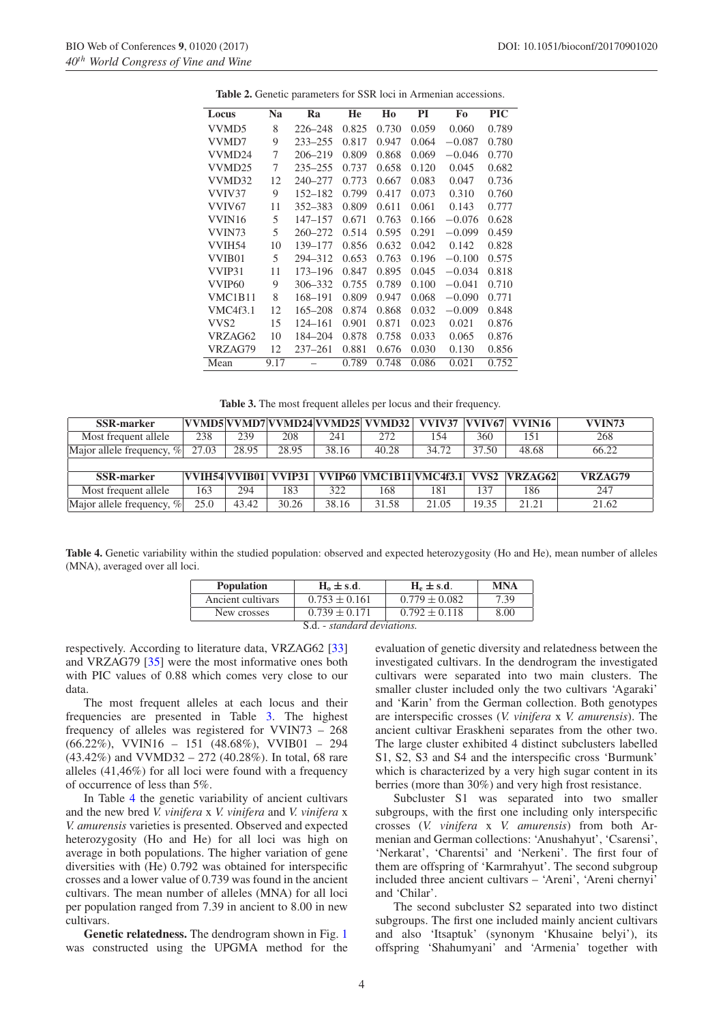<span id="page-3-0"></span>

| Locus           | Na   | Ra          | He    | Ho    | PI    | Fo       | <b>PIC</b> |
|-----------------|------|-------------|-------|-------|-------|----------|------------|
| VVMD5           | 8    | 226–248     | 0.825 | 0.730 | 0.059 | 0.060    | 0.789      |
| VVMD7           | 9    | $233 - 255$ | 0.817 | 0.947 | 0.064 | $-0.087$ | 0.780      |
| VVMD24          | 7    | 206-219     | 0.809 | 0.868 | 0.069 | $-0.046$ | 0.770      |
| VVMD25          | 7    | $235 - 255$ | 0.737 | 0.658 | 0.120 | 0.045    | 0.682      |
| VVMD32          | 12   | $240 - 277$ | 0.773 | 0.667 | 0.083 | 0.047    | 0.736      |
| VVIV37          | 9    | $152 - 182$ | 0.799 | 0.417 | 0.073 | 0.310    | 0.760      |
| VVIV67          | 11   | 352-383     | 0.809 | 0.611 | 0.061 | 0.143    | 0.777      |
| VVIN16          | 5    | $147 - 157$ | 0.671 | 0.763 | 0.166 | $-0.076$ | 0.628      |
| VVIN73          | 5    | 260-272     | 0.514 | 0.595 | 0.291 | $-0.099$ | 0.459      |
| VVIH54          | 10   | 139-177     | 0.856 | 0.632 | 0.042 | 0.142    | 0.828      |
| VVIB01          | 5    | 294-312     | 0.653 | 0.763 | 0.196 | $-0.100$ | 0.575      |
| VVIP31          | 11   | 173-196     | 0.847 | 0.895 | 0.045 | $-0.034$ | 0.818      |
| VVIP60          | 9    | 306-332     | 0.755 | 0.789 | 0.100 | $-0.041$ | 0.710      |
| VMC1B11         | 8    | 168-191     | 0.809 | 0.947 | 0.068 | $-0.090$ | 0.771      |
| <b>VMC4f3.1</b> | 12   | 165–208     | 0.874 | 0.868 | 0.032 | $-0.009$ | 0.848      |
| VVS2            | 15   | 124–161     | 0.901 | 0.871 | 0.023 | 0.021    | 0.876      |
| VRZAG62         | 10   | 184-204     | 0.878 | 0.758 | 0.033 | 0.065    | 0.876      |
| VRZAG79         | 12   | $237 - 261$ | 0.881 | 0.676 | 0.030 | 0.130    | 0.856      |
| Mean            | 9.17 |             | 0.789 | 0.748 | 0.086 | 0.021    | 0.752      |
|                 |      |             |       |       |       |          |            |

**Table 2.** Genetic parameters for SSR loci in Armenian accessions.

<span id="page-3-1"></span>

| Table 3. The most frequent alleles per locus and their frequency. |  |
|-------------------------------------------------------------------|--|
|-------------------------------------------------------------------|--|

| <b>SSR-marker</b>            |       |       |       |       | VVMD5 VVMD7 VVMD24 VVMD25  VVMD32    VVIV37   VVIV67   VVIN16 |       |       |            | <b>VVIN73</b> |
|------------------------------|-------|-------|-------|-------|---------------------------------------------------------------|-------|-------|------------|---------------|
| Most frequent allele         | 238   | 239   | 208   | 241   | 272                                                           | 154   | 360   | 151        | 268           |
| Major allele frequency, $\%$ | 27.03 | 28.95 | 28.95 | 38.16 | 40.28                                                         | 34.72 | 37.50 | 48.68      | 66.22         |
|                              |       |       |       |       |                                                               |       |       |            |               |
| <b>SSR-marker</b>            |       |       |       |       | VVIH54 VVIB01  VVIP31   VVIP60  VMC1B11 VMC4f3.1   VVS2       |       |       | $N$ RZAG62 | VRZAG79       |
| Most frequent allele         | 163   | 294   | 183   | 322   | 168                                                           | 181   | 37    | 186        | 247           |
| Major allele frequency, $\%$ | 25.0  | 43.42 | 30.26 | 38.16 | 31.58                                                         | 21.05 | 19.35 | 21.21      | 21.62         |

<span id="page-3-2"></span>**Table 4.** Genetic variability within the studied population: observed and expected heterozygosity (Ho and He), mean number of alleles (MNA), averaged over all loci.

| <b>Population</b> | $H_0 \pm s.d.$    | $H_e \pm s.d.$    | MNA  |  |  |  |  |
|-------------------|-------------------|-------------------|------|--|--|--|--|
| Ancient cultivars | $0.753 \pm 0.161$ | $0.779 \pm 0.082$ | 7.39 |  |  |  |  |
| New crosses       | $0.739 \pm 0.171$ | $0.792 \pm 0.118$ | 8.00 |  |  |  |  |
|                   |                   |                   |      |  |  |  |  |

S.d. - *standard deviations.*

respectively. According to literature data, VRZAG62 [\[33\]](#page-5-27) and VRZAG79 [\[35\]](#page-5-29) were the most informative ones both with PIC values of 0.88 which comes very close to our data.

The most frequent alleles at each locus and their frequencies are presented in Table [3.](#page-3-1) The highest frequency of alleles was registered for VVIN73 – 268 (66.22%), VVIN16 – 151 (48.68%), VVIB01 – 294 (43.42%) and VVMD32 – 272 (40.28%). In total, 68 rare alleles (41,46%) for all loci were found with a frequency of occurrence of less than 5%.

In Table [4](#page-3-2) the genetic variability of ancient cultivars and the new bred *V. vinifera* x *V. vinifera* and *V. vinifera* x *V. amurensis* varieties is presented. Observed and expected heterozygosity (Ho and He) for all loci was high on average in both populations. The higher variation of gene diversities with (He) 0.792 was obtained for interspecific crosses and a lower value of 0.739 was found in the ancient cultivars. The mean number of alleles (MNA) for all loci per population ranged from 7.39 in ancient to 8.00 in new cultivars.

**Genetic relatedness.** The dendrogram shown in Fig. [1](#page-4-0) was constructed using the UPGMA method for the evaluation of genetic diversity and relatedness between the investigated cultivars. In the dendrogram the investigated cultivars were separated into two main clusters. The smaller cluster included only the two cultivars 'Agaraki' and 'Karin' from the German collection. Both genotypes are interspecific crosses (*V. vinifera* x *V. amurensis*). The ancient cultivar Eraskheni separates from the other two. The large cluster exhibited 4 distinct subclusters labelled S1, S2, S3 and S4 and the interspecific cross 'Burmunk' which is characterized by a very high sugar content in its berries (more than 30%) and very high frost resistance.

Subcluster S1 was separated into two smaller subgroups, with the first one including only interspecific crosses (*V. vinifera* x *V. amurensis*) from both Armenian and German collections: 'Anushahyut', 'Csarensi', 'Nerkarat', 'Charentsi' and 'Nerkeni'. The first four of them are offspring of 'Karmrahyut'. The second subgroup included three ancient cultivars – 'Areni', 'Areni chernyi' and 'Chilar'.

The second subcluster S2 separated into two distinct subgroups. The first one included mainly ancient cultivars and also 'Itsaptuk' (synonym 'Khusaine belyi'), its offspring 'Shahumyani' and 'Armenia' together with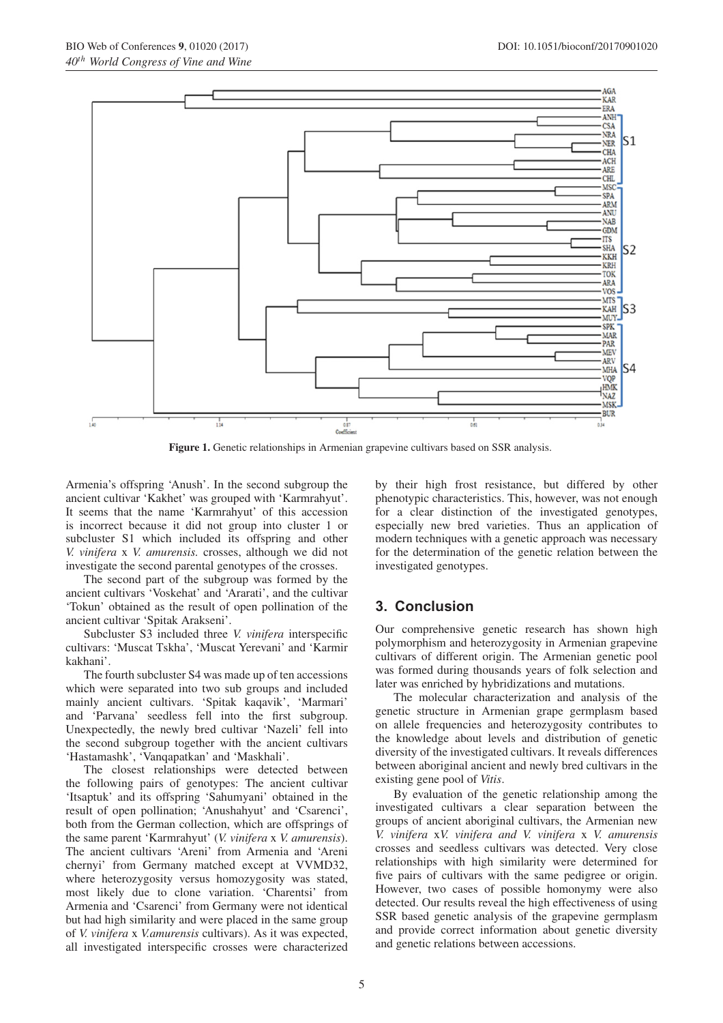

<span id="page-4-0"></span>**Figure 1.** Genetic relationships in Armenian grapevine cultivars based on SSR analysis.

Armenia's offspring 'Anush'. In the second subgroup the ancient cultivar 'Kakhet' was grouped with 'Karmrahyut'. It seems that the name 'Karmrahyut' of this accession is incorrect because it did not group into cluster 1 or subcluster S1 which included its offspring and other *V. vinifera* x *V. amurensis.* crosses, although we did not investigate the second parental genotypes of the crosses.

The second part of the subgroup was formed by the ancient cultivars 'Voskehat' and 'Ararati', and the cultivar 'Tokun' obtained as the result of open pollination of the ancient cultivar 'Spitak Arakseni'.

Subcluster S3 included three *V. vinifera* interspecific cultivars: 'Muscat Tskha', 'Muscat Yerevani' and 'Karmir kakhani'.

The fourth subcluster S4 was made up of ten accessions which were separated into two sub groups and included mainly ancient cultivars. 'Spitak kaqavik', 'Marmari' and 'Parvana' seedless fell into the first subgroup. Unexpectedly, the newly bred cultivar 'Nazeli' fell into the second subgroup together with the ancient cultivars 'Hastamashk', 'Vanqapatkan' and 'Maskhali'.

The closest relationships were detected between the following pairs of genotypes: The ancient cultivar 'Itsaptuk' and its offspring 'Sahumyani' obtained in the result of open pollination; 'Anushahyut' and 'Csarenci', both from the German collection, which are offsprings of the same parent 'Karmrahyut' (*V. vinifera* x *V. amurensis*). The ancient cultivars 'Areni' from Armenia and 'Areni chernyi' from Germany matched except at VVMD32, where heterozygosity versus homozygosity was stated, most likely due to clone variation. 'Charentsi' from Armenia and 'Csarenci' from Germany were not identical but had high similarity and were placed in the same group of *V. vinifera* x *V.amurensis* cultivars). As it was expected, all investigated interspecific crosses were characterized by their high frost resistance, but differed by other phenotypic characteristics. This, however, was not enough for a clear distinction of the investigated genotypes, especially new bred varieties. Thus an application of modern techniques with a genetic approach was necessary for the determination of the genetic relation between the investigated genotypes.

## **3. Conclusion**

Our comprehensive genetic research has shown high polymorphism and heterozygosity in Armenian grapevine cultivars of different origin. The Armenian genetic pool was formed during thousands years of folk selection and later was enriched by hybridizations and mutations.

The molecular characterization and analysis of the genetic structure in Armenian grape germplasm based on allele frequencies and heterozygosity contributes to the knowledge about levels and distribution of genetic diversity of the investigated cultivars. It reveals differences between aboriginal ancient and newly bred cultivars in the existing gene pool of *Vitis*.

By evaluation of the genetic relationship among the investigated cultivars a clear separation between the groups of ancient aboriginal cultivars, the Armenian new *V. vinifera* x*V. vinifera and V. vinifera* x *V. amurensis* crosses and seedless cultivars was detected. Very close relationships with high similarity were determined for five pairs of cultivars with the same pedigree or origin. However, two cases of possible homonymy were also detected. Our results reveal the high effectiveness of using SSR based genetic analysis of the grapevine germplasm and provide correct information about genetic diversity and genetic relations between accessions.